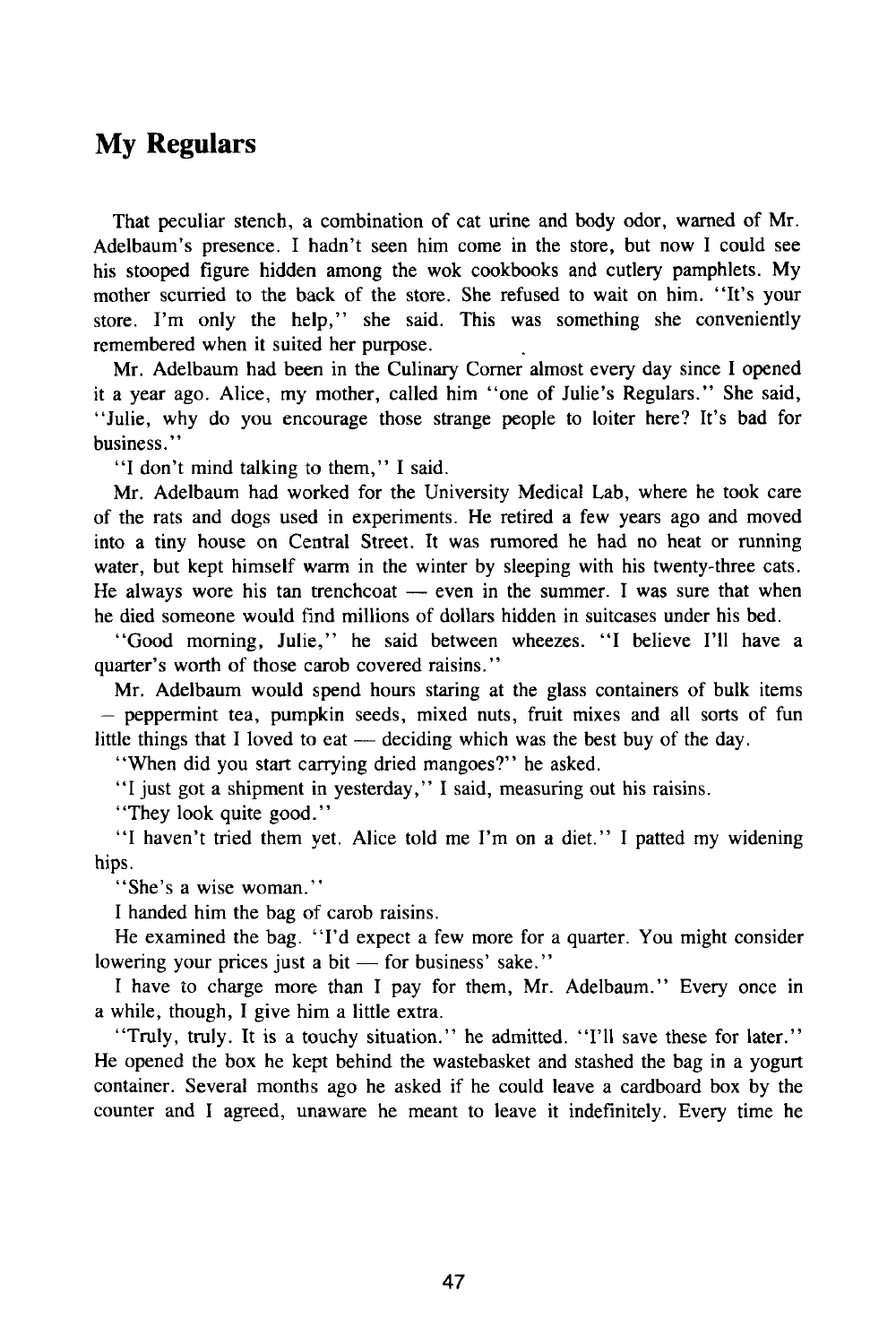## My Regulars

That peculiar stench, a combination of cat urine and body odor, warned of Mr. Adelbaum's presence. I hadn't seen him come in the store, but now I could see his stooped figure hidden among the wok cookbooks and cutlery pamphlets. My mother scurried to the back of the store. She refused to wait on him. "It's your store. I'm only the help," she said. This was something she conveniently remembered when it suited her purpose.

Mr. Adelbaum had been in the Culinary Corner almost every day since I opened it a year ago. Alice, my mother, called him "one of Julie's Regulars." She said, "Julie, why do you encourage those strange people to loiter here? It's bad for business."

"I don't mind talking to them," I said.

Mr. Adelbaum had worked for the University Medical Lab, where he took care of the rats and dogs used in experiments. He retired a few years ago and moved into a tiny house on Central Street. It was rumored he had no heat or running water, but kept himself warm in the winter by sleeping with his twenty-three cats. He always wore his tan trenchcoat — even in the summer. I was sure that when he died someone would find millions of dollars hidden in suitcases under his bed.

"Good morning, Julie," he said between wheezes. "I believe I'll have a quarter's worth of those carob covered raisins."

Mr. Adelbaum would spend hours staring at the glass containers of bulk items — peppermint tea, pumpkin seeds, mixed nuts, fruit mixes and all sorts of fun little things that I loved to eat — deciding which was the best buy of the day.

"When did you start carrying dried mangoes?" he asked.

"I just got a shipment in yesterday," I said, measuring out his raisins.

"They look quite good."

"I haven't tried them yet. Alice told me I'm on a diet." I patted my widening hips.

"She's a wise woman."

I handed him the bag of carob raisins.

He examined the bag. "I'd expect a few more for a quarter. You might consider lowering your prices just a bit — for business' sake."

I have to charge more than I pay for them, Mr. Adelbaum." Every once in a while, though, I give him a little extra.

"Truly, truly. It is a touchy situation." he admitted. "I'll save these for later." He opened the box he kept behind the wastebasket and stashed the bag in a yogurt container. Several months ago he asked if he could leave a cardboard box by the counter and I agreed, unaware he meant to leave it indefinitely. Every time he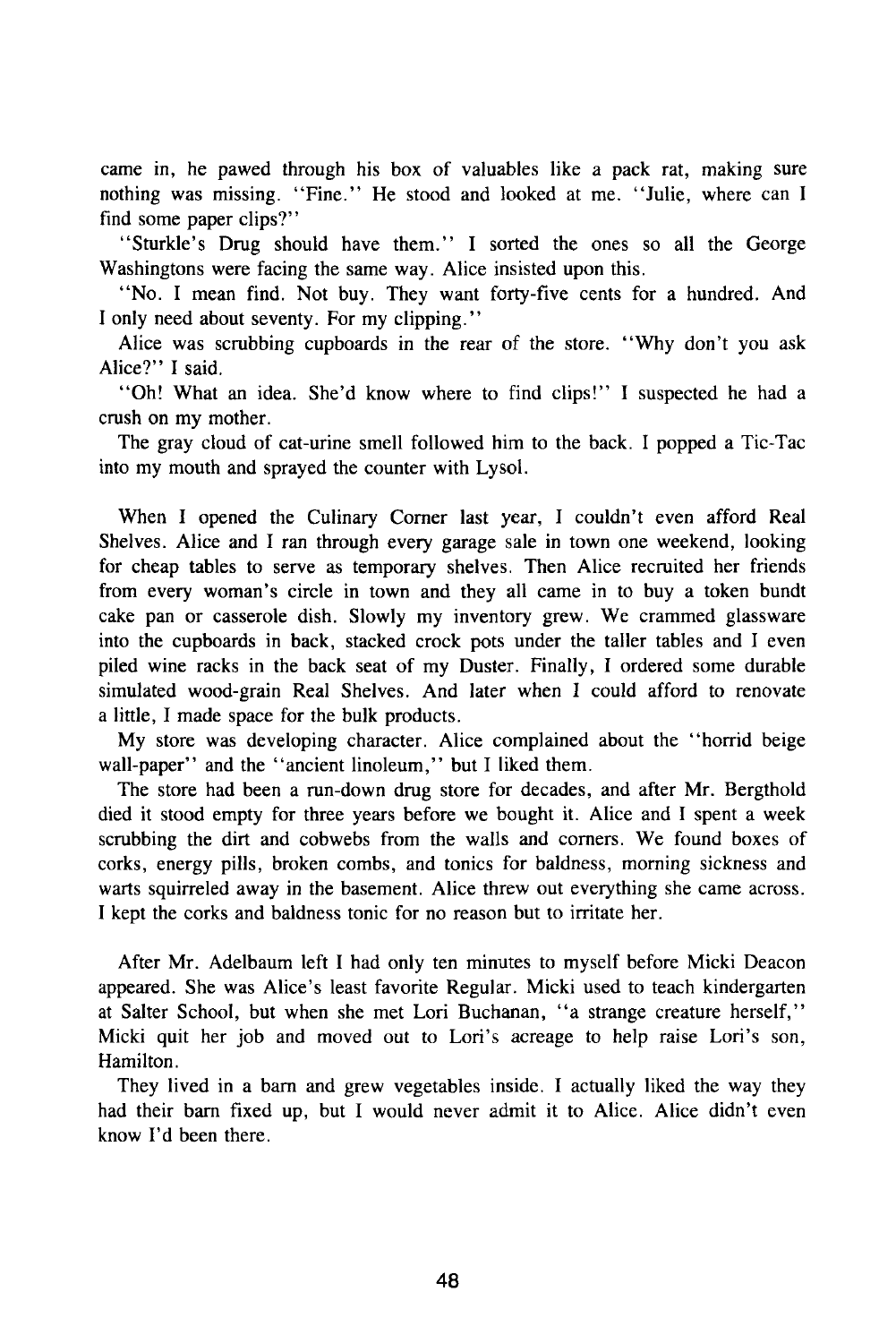came in, he pawed through his box of valuables like a pack rat, making sure nothing was missing. "Fine." He stood and looked at me. "Julie, where can I find some paper clips?"

"Sturkle's Drug should have them." I sorted the ones so all the George Washingtons were facing the same way. Alice insisted upon this.

"No. I mean find. Not buy. They want forty-five cents for a hundred. And I only need about seventy. For my clipping."

Alice was scrubbing cupboards in the rear of the store. "Why don't you ask Alice?" I said.

"Oh! What an idea. She'd know where to find clips!" I suspected he had a crush on my mother.

The gray cloud of cat-urine smell followed him to the back. I popped a Tic-Tac into my mouth and sprayed the counter with Lysol.

When I opened the Culinary Comer last year, I couldn't even afford Real Shelves. Alice and I ran through every garage sale in town one weekend, looking for cheap tables to serve as temporary shelves. Then Alice recruited her friends from every woman's circle in town and they all came in to buy a token bundt cake pan or casserole dish. Slowly my inventory grew. We crammed glassware into the cupboards in back, stacked crock pots under the taller tables and I even piled wine racks in the back seat of my Duster. Finally, I ordered some durable simulated wood-grain Real Shelves. And later when I could afford to renovate a little, I made space for the bulk products.

My store was developing character. Alice complained about the "horrid beige wall-paper" and the "ancient linoleum," but I liked them.

The store had been a run-down drug store for decades, and after Mr. Bergthold died it stood empty for three years before we bought it. Alice and I spent a week scrubbing the dirt and cobwebs from the walls and comers. We found boxes of corks, energy pills, broken combs, and tonics for baldness, morning sickness and warts squirreled away in the basement. Alice threw out everything she came across. I kept the corks and baldness tonic for no reason but to irritate her.

After Mr. Adelbaum left I had only ten minutes to myself before Micki Deacon appeared. She was Alice's least favorite Regular. Micki used to teach kindergarten at Salter School, but when she met Lori Buchanan, "a strange creature herself," Micki quit her job and moved out to Lori's acreage to help raise Lori's son, Hamilton.

They lived in a bam and grew vegetables inside. I actually liked the way they had their bam fixed up, but I would never admit it to Alice. Alice didn't even know I'd been there.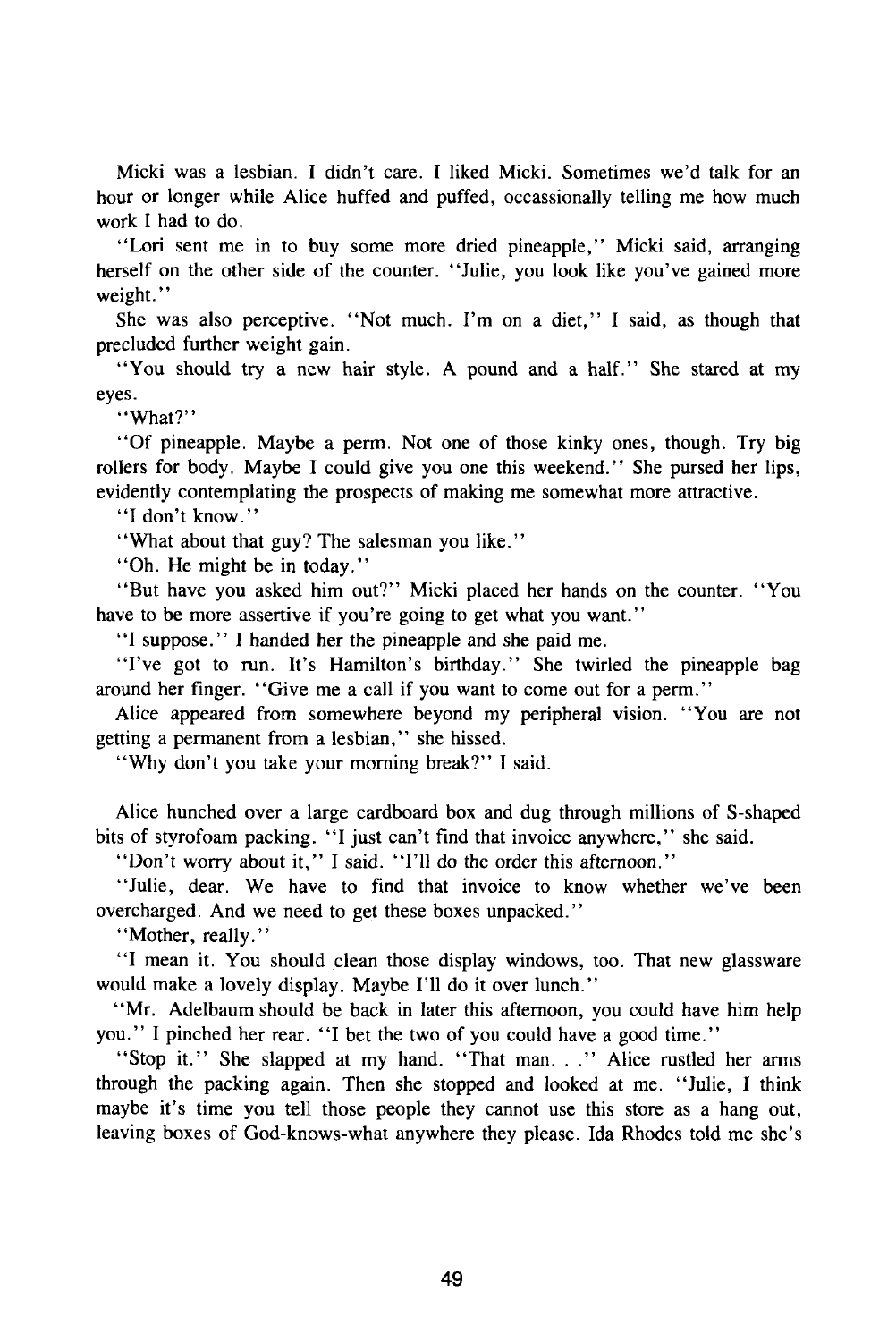Micki was a lesbian. I didn't care. I liked Micki. Sometimes we'd talk for an hour or longer while Alice huffed and puffed, occassionally telling me how much work I had to do.

"Lori sent me in to buy some more dried pineapple," Micki said, arranging herself on the other side of the counter. "Julie, you look like you've gained more weight."

She was also perceptive. "Not much. I'm on a diet," I said, as though that precluded further weight gain.

"You should try a new hair style. A pound and a half." She stared at my eyes.

"What?"

"Of pineapple. Maybe a perm. Not one of those kinky ones, though. Try big rollers for body. Maybe I could give you one this weekend." She pursed her lips, evidently contemplating the prospects of making me somewhat more attractive.

"I don't know."

"What about that guy? The salesman you like."

"Oh. He might be in today."

"But have you asked him out?" Micki placed her hands on the counter. "You have to be more assertive if you're going to get what you want."

"I suppose." I handed her the pineapple and she paid me.

"I've got to run. It's Hamilton's birthday." She twirled the pineapple bag around her finger. "Give me a call if you want to come out for a perm."

Alice appeared from somewhere beyond my peripheral vision. "You are not getting a permanent from a lesbian," she hissed.

"Why don't you take your morning break?" I said.

Alice hunched over a large cardboard box and dug through millions of S-shaped bits of styrofoam packing. "I just can't find that invoice anywhere," she said.

"Don't worry about it," I said. "I'll do the order this afternoon."

"Julie, dear. We have to find that invoice to know whether we've been overcharged. And we need to get these boxes unpacked."

"Mother, really."

"I mean it. You should clean those display windows, too. That new glassware would make a lovely display. Maybe I'll do it over lunch."

"Mr. Adelbaum should be back in later this afternoon, you could have him help you." I pinched her rear. "I bet the two of you could have a good time."

"Stop it." She slapped at my hand. "That man. . ." Alice rustled her arms through the packing again. Then she stopped and looked at me. "Julie, I think maybe it's time you tell those people they cannot use this store as a hang out, leaving boxes of God-knows-what anywhere they please. Ida Rhodes told me she's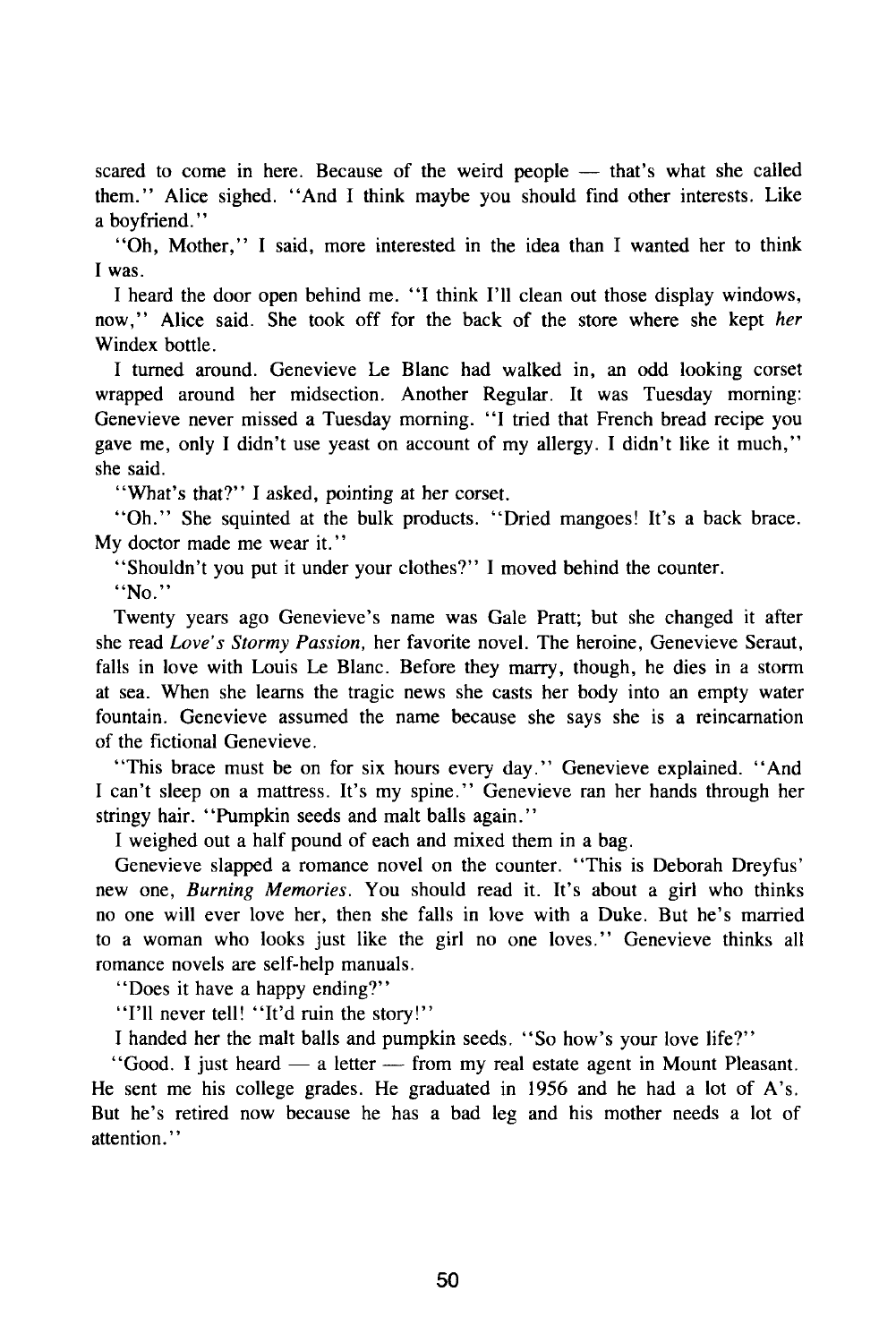scared to come in here. Because of the weird people — that's what she called them." Alice sighed. "And I think maybe you should find other interests. Like a boyfriend."

"Oh, Mother," I said, more interested in the idea than I wanted her to think I was.

I heard the door open behind me. "I think I'll clean out those display windows, now," Alice said. She took off for the back of the store where she kept *her*  Windex bottle.

I turned around. Genevieve Le Blanc had walked in, an odd looking corset wrapped around her midsection. Another Regular. It was Tuesday morning: Genevieve never missed a Tuesday morning. "I tried that French bread recipe you gave me, only I didn't use yeast on account of my allergy. I didn't like it much," she said.

"What's that?" I asked, pointing at her corset.

"Oh." She squinted at the bulk products. "Dried mangoes! It's a back brace. My doctor made me wear it."

"Shouldn't you put it under your clothes?" I moved behind the counter.

"No."

Twenty years ago Genevieve's name was Gale Pratt; but she changed it after she read *Love's Stormy Passion,* her favorite novel. The heroine, Genevieve Seraut, falls in love with Louis Le Blanc. Before they marry, though, he dies in a storm at sea. When she learns the tragic news she casts her body into an empty water fountain. Genevieve assumed the name because she says she is a reincarnation of the fictional Genevieve.

"This brace must be on for six hours every day." Genevieve explained. "And I can't sleep on a mattress. It's my spine." Genevieve ran her hands through her stringy hair. "Pumpkin seeds and malt balls again."

I weighed out a half pound of each and mixed them in a bag.

Genevieve slapped a romance novel on the counter. "This is Deborah Dreyfus' new one, *Burning Memories.* You should read it. It's about a girl who thinks no one will ever love her, then she falls in love with a Duke. But he's married to a woman who looks just like the girl no one loves." Genevieve thinks all romance novels are self-help manuals.

"Does it have a happy ending?"

"I'll never tell! "It'd ruin the story!"

I handed her the malt balls and pumpkin seeds. "So how's your love life?"

"Good. I just heard — a letter — from my real estate agent in Mount Pleasant. He sent me his college grades. He graduated in 1956 and he had a lot of A's. But he's retired now because he has a bad leg and his mother needs a lot of attention."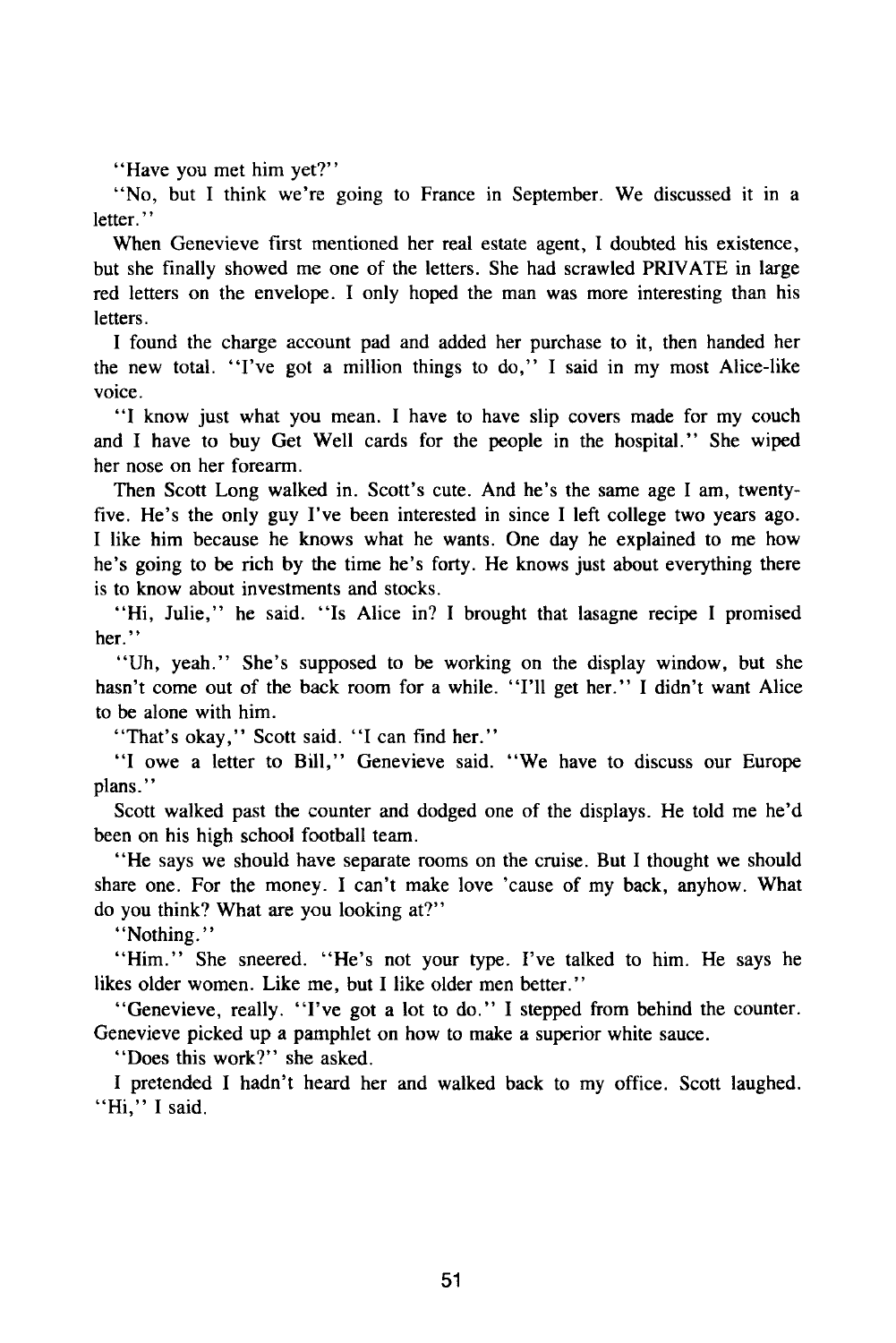"Have you met him yet?"

"No, but I think we're going to France in September. We discussed it in a letter."

When Genevieve first mentioned her real estate agent, I doubted his existence, but she finally showed me one of the letters. She had scrawled PRIVATE in large red letters on the envelope. I only hoped the man was more interesting than his letters.

I found the charge account pad and added her purchase to it, then handed her the new total. "I've got a million things to do," I said in my most Alice-like voice.

"I know just what you mean. I have to have slip covers made for my couch and I have to buy Get Well cards for the people in the hospital." She wiped her nose on her forearm.

Then Scott Long walked in. Scott's cute. And he's the same age I am, twentyfive. He's the only guy I've been interested in since I left college two years ago. I like him because he knows what he wants. One day he explained to me how he's going to be rich by the time he's forty. He knows just about everything there is to know about investments and stocks.

"Hi, Julie," he said. "Is Alice in? I brought that lasagne recipe I promised her."

"Uh, yeah." She's supposed to be working on the display window, but she hasn't come out of the back room for a while. "I'll get her." I didn't want Alice to be alone with him.

"That's okay," Scott said. "I can find her."

"I owe a letter to Bill," Genevieve said. "We have to discuss our Europe plans."

Scott walked past the counter and dodged one of the displays. He told me he'd been on his high school football team.

"He says we should have separate rooms on the cruise. But I thought we should share one. For the money. I can't make love 'cause of my back, anyhow. What do you think? What are you looking at?"

"Nothing."

"Him." She sneered. "He's not your type. I've talked to him. He says he likes older women. Like me, but I like older men better."

"Genevieve, really. "I've got a lot to do." I stepped from behind the counter. Genevieve picked up a pamphlet on how to make a superior white sauce.

"Does this work?" she asked.

I pretended I hadn't heard her and walked back to my office. Scott laughed. "Hi," I said.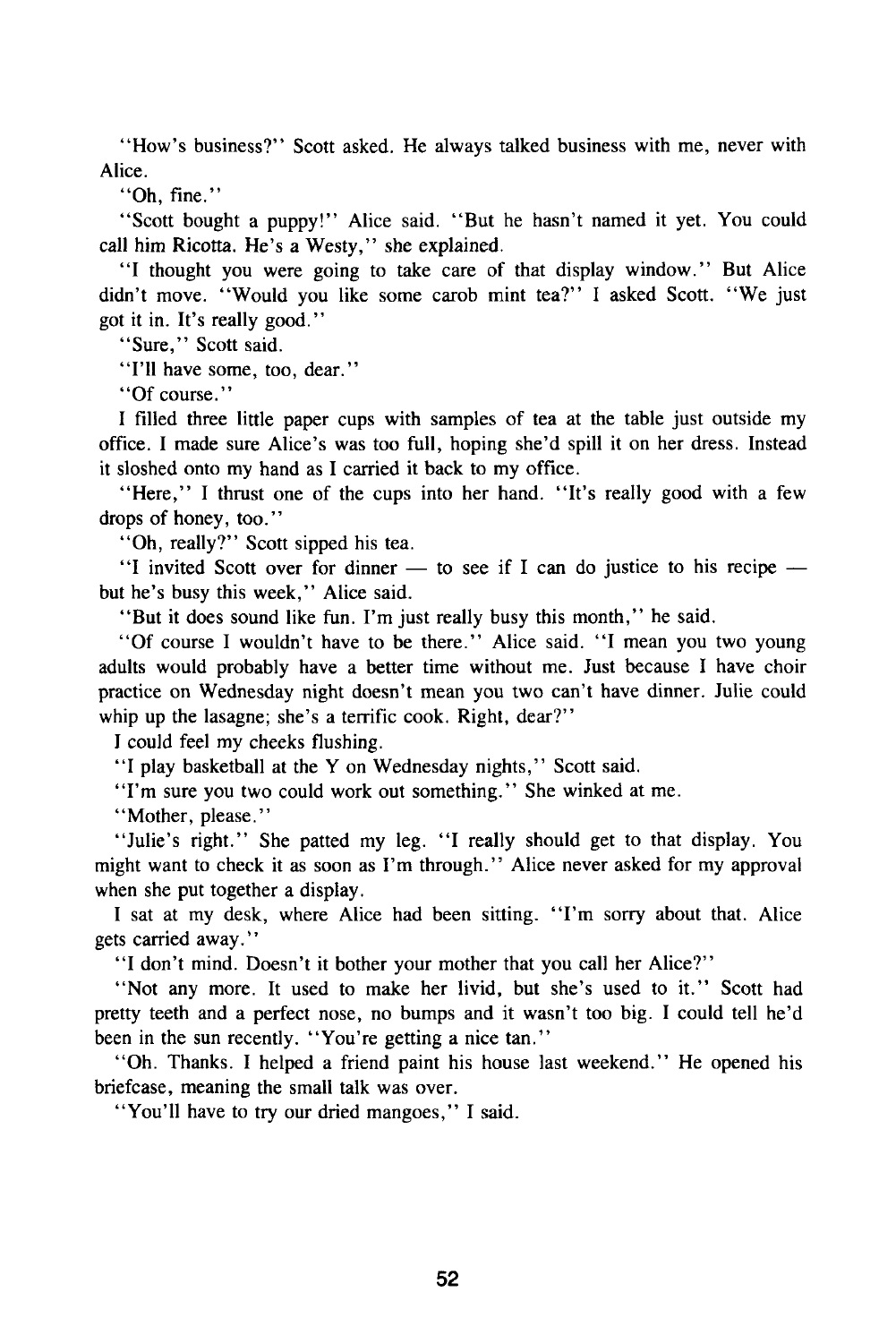"How's business?" Scott asked. He always talked business with me, never with Alice.

"Oh, fine."

"Scott bought a puppy!" Alice said. "But he hasn't named it yet. You could call him Ricotta. He's a Westy," she explained.

"I thought you were going to take care of that display window." But Alice didn't move. "Would you like some carob mint tea?" I asked Scott. "We just got it in. It's really good."

"Sure," Scott said.

"I'll have some, too, dear."

"Of course."

I filled three little paper cups with samples of tea at the table just outside my office. I made sure Alice's was too full, hoping she'd spill it on her dress. Instead it sloshed onto my hand as I carried it back to my office.

"Here," I thrust one of the cups into her hand. "It's really good with a few drops of honey, too."

"Oh, really?" Scott sipped his tea.

"I invited Scott over for dinner — to see if I can do justice to his recipe but he's busy this week," Alice said.

"But it does sound like fun. I'm just really busy this month," he said.

"Of course I wouldn't have to be there." Alice said. "I mean you two young adults would probably have a better time without me. Just because I have choir practice on Wednesday night doesn't mean you two can't have dinner. Julie could whip up the lasagne; she's a terrific cook. Right, dear?"

I could feel my cheeks flushing.

"I play basketball at the Y on Wednesday nights," Scott said.

"I'm sure you two could work out something." She winked at me.

"Mother, please."

"Julie's right." She patted my leg. "I really should get to that display. You might want to check it as soon as I'm through." Alice never asked for my approval when she put together a display.

I sat at my desk, where Alice had been sitting. "I'm sorry about that. Alice gets carried away."

"I don't mind. Doesn't it bother your mother that you call her Alice?"

"Not any more. It used to make her livid, but she's used to it." Scott had pretty teeth and a perfect nose, no bumps and it wasn't too big. I could tell he'd been in the sun recently. "You're getting a nice tan."

"Oh. Thanks. I helped a friend paint his house last weekend." He opened his briefcase, meaning the small talk was over.

"You'll have to try our dried mangoes," I said.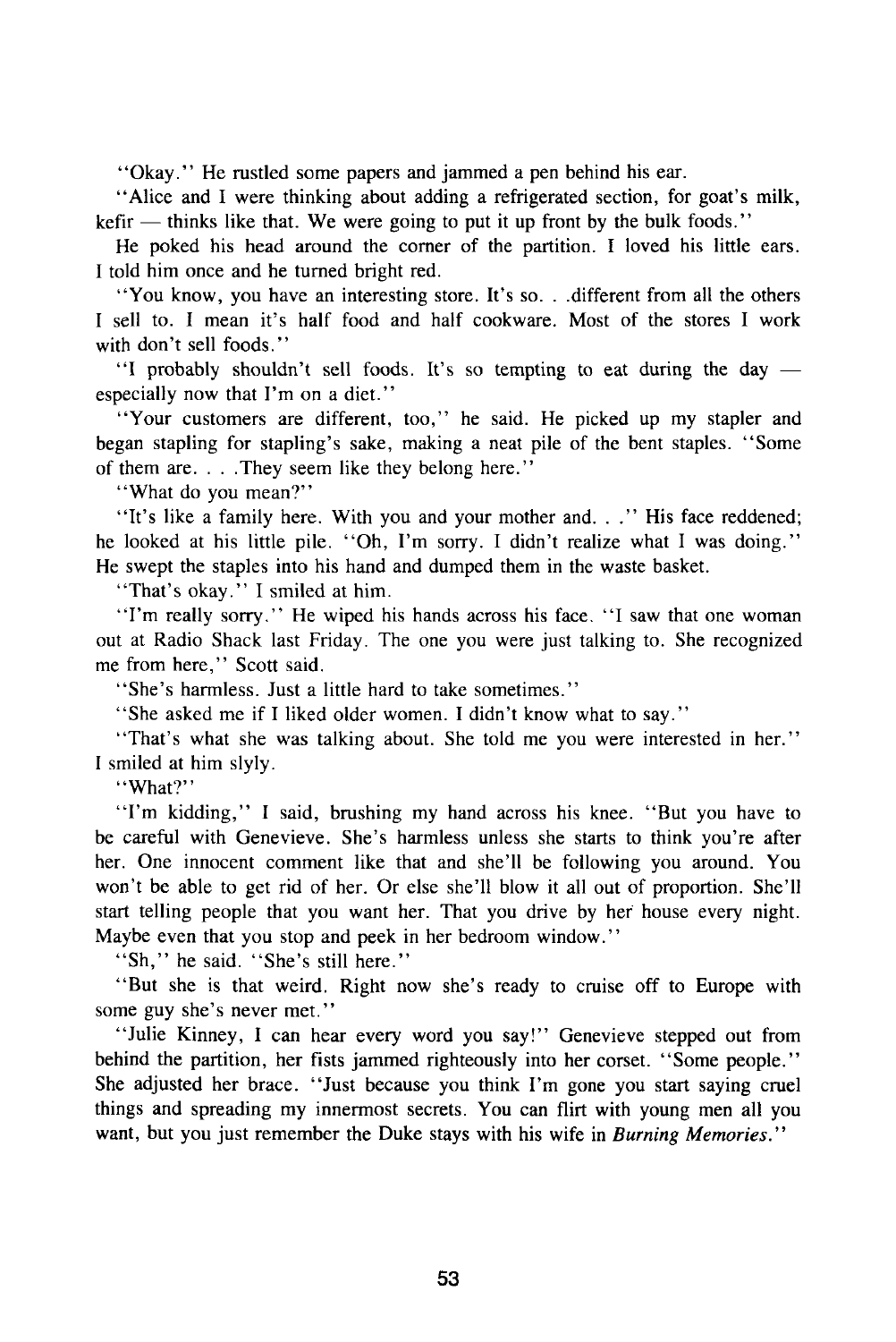"Okay." He rustled some papers and jammed a pen behind his ear.

"Alice and I were thinking about adding a refrigerated section, for goat's milk,  $k$ efir — thinks like that. We were going to put it up front by the bulk foods."

He poked his head around the corner of the partition. I loved his little ears. I told him once and he turned bright red.

"You know, you have an interesting store. It's so. . .different from all the others I sell to. I mean it's half food and half cookware. Most of the stores I work with don't sell foods."

"I probably shouldn't sell foods. It's so tempting to eat during the day especially now that I'm on a diet."

"Your customers are different, too," he said. He picked up my stapler and began stapling for stapling's sake, making a neat pile of the bent staples. "Some of them are. . . .They seem like they belong here."

"What do you mean?"

"It's like a family here. With you and your mother and. . ." His face reddened; he looked at his little pile. "Oh, I'm sorry. I didn't realize what I was doing." He swept the staples into his hand and dumped them in the waste basket.

"That's okay." I smiled at him.

"I'm really sorry." He wiped his hands across his face. "I saw that one woman out at Radio Shack last Friday. The one you were just talking to. She recognized me from here," Scott said.

"She's harmless. Just a little hard to take sometimes."

"She asked me if I liked older women. I didn't know what to say."

"That's what she was talking about. She told me you were interested in her." I smiled at him slyly.

"What?"

"I'm kidding," I said, brushing my hand across his knee. "But you have to be careful with Genevieve. She's harmless unless she starts to think you're after her. One innocent comment like that and she'll be following you around. You won't be able to get rid of her. Or else she'll blow it all out of proportion. She'll start telling people that you want her. That you drive by her house every night. Maybe even that you stop and peek in her bedroom window."

"Sh," he said. "She's still here."

"But she is that weird. Right now she's ready to cruise off to Europe with some guy she's never met."

"Julie Kinney, I can hear every word you say!" Genevieve stepped out from behind the partition, her fists jammed righteously into her corset. "Some people." She adjusted her brace. "Just because you think I'm gone you start saying cruel things and spreading my innermost secrets. You can flirt with young men all you want, but you just remember the Duke stays with his wife in *Burning Memories.*"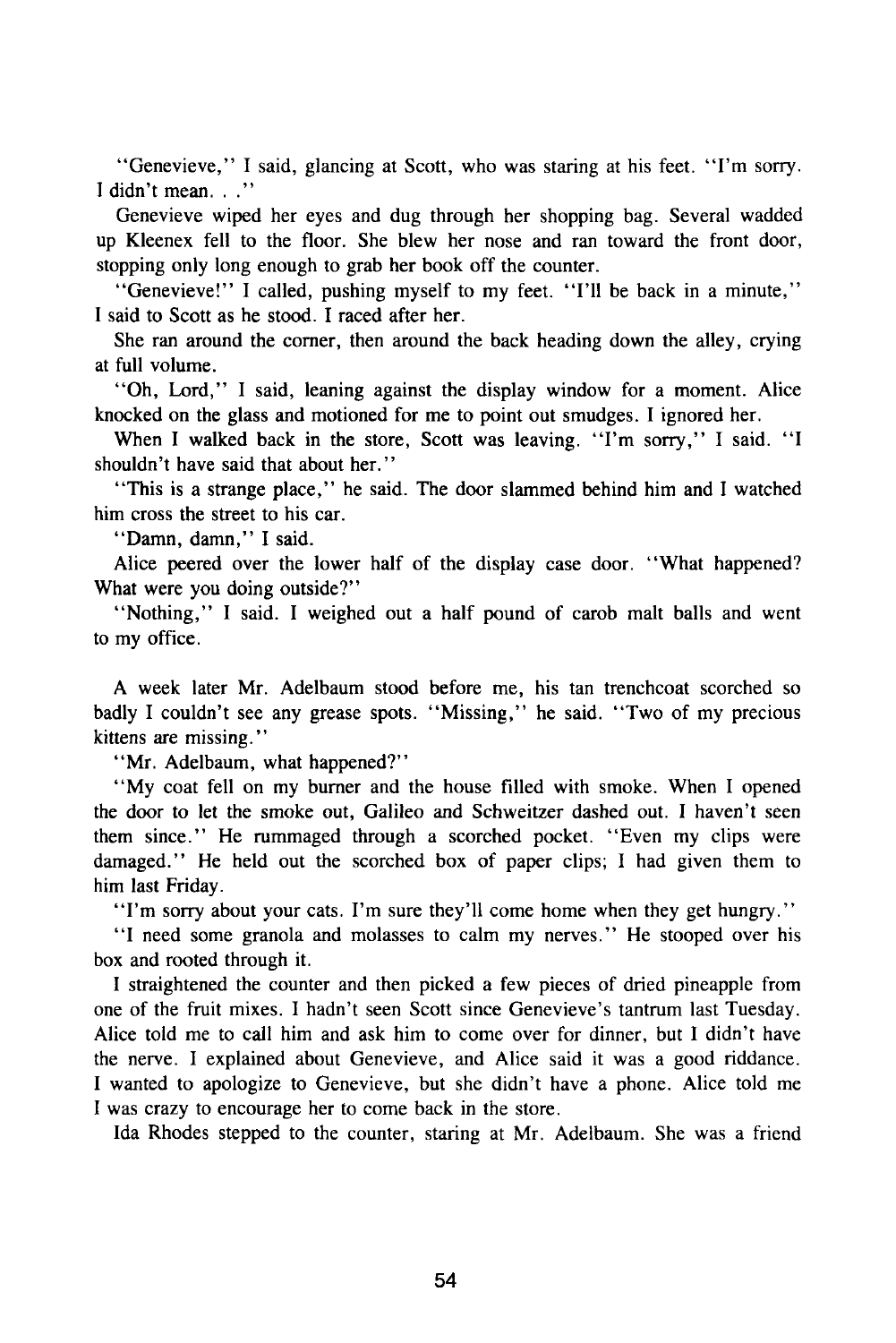"Genevieve," I said, glancing at Scott, who was staring at his feet. "I'm sorry. I didn't mean. . .''

Genevieve wiped her eyes and dug through her shopping bag. Several wadded up Kleenex fell to the floor. She blew her nose and ran toward the front door, stopping only long enough to grab her book off the counter.

"Genevieve!" I called, pushing myself to my feet. "I'll be back in a minute," I said to Scott as he stood. I raced after her.

She ran around the corner, then around the back heading down the alley, crying at full volume.

"Oh, Lord," I said, leaning against the display window for a moment. Alice knocked on the glass and motioned for me to point out smudges. I ignored her.

When I walked back in the store, Scott was leaving. "I'm sorry," I said. "I shouldn't have said that about her."

"This is a strange place," he said. The door slammed behind him and I watched him cross the street to his car.

"Damn, damn," I said.

Alice peered over the lower half of the display case door. "What happened? What were you doing outside?"

"Nothing," I said. I weighed out a half pound of carob malt balls and went to my office.

A week later Mr. Adelbaum stood before me, his tan trenchcoat scorched so badly I couldn't see any grease spots. "Missing," he said. "Two of my precious kittens are missing."

"Mr. Adelbaum, what happened?"

"My coat fell on my burner and the house filled with smoke. When I opened the door to let the smoke out, Galileo and Schweitzer dashed out. I haven't seen them since." He rummaged through a scorched pocket. "Even my clips were damaged." He held out the scorched box of paper clips; I had given them to him last Friday.

"I'm sorry about your cats. I'm sure they'll come home when they get hungry."

"I need some granola and molasses to calm my nerves." He stooped over his box and rooted through it.

I straightened the counter and then picked a few pieces of dried pineapple from one of the fruit mixes. I hadn't seen Scott since Genevieve's tantrum last Tuesday. Alice told me to call him and ask him to come over for dinner, but I didn't have the nerve. I explained about Genevieve, and Alice said it was a good riddance. I wanted to apologize to Genevieve, but she didn't have a phone. Alice told me I was crazy to encourage her to come back in the store.

Ida Rhodes stepped to the counter, staring at Mr. Adelbaum. She was a friend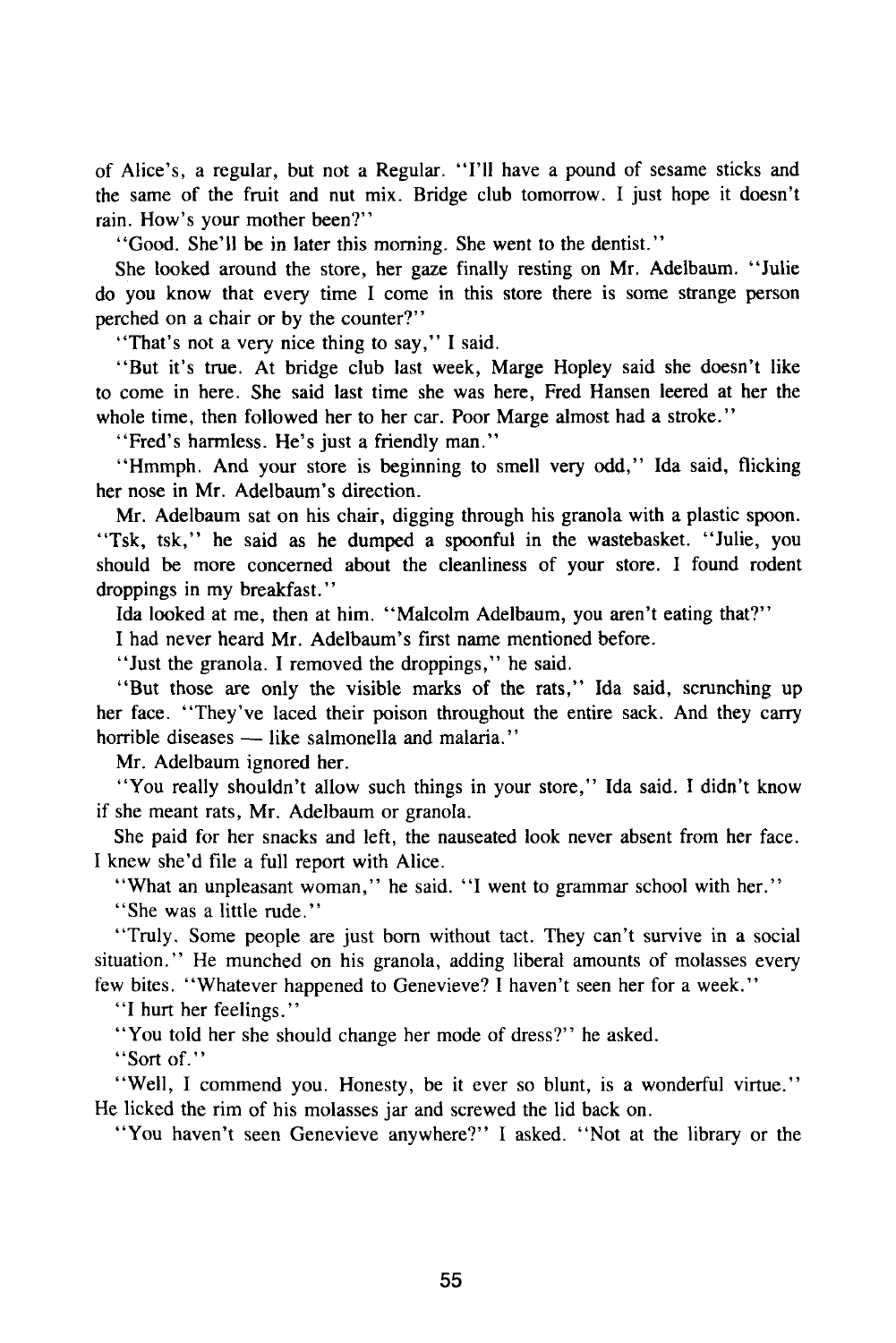of Alice's, a regular, but not a Regular. "I'll have a pound of sesame sticks and the same of the fruit and nut mix. Bridge club tomorrow. I just hope it doesn't rain. How's your mother been?"

"Good. She'll be in later this morning. She went to the dentist."

She looked around the store, her gaze finally resting on Mr. Adelbaum. "Julie do you know that every time I come in this store there is some strange person perched on a chair or by the counter?"

"That's not a very nice thing to say," I said.

"But it's true. At bridge club last week, Marge Hopley said she doesn't like to come in here. She said last time she was here, Fred Hansen leered at her the whole time, then followed her to her car. Poor Marge almost had a stroke."

"Fred's harmless. He's just a friendly man."

"Hmmph. And your store is beginning to smell very odd," Ida said, flicking her nose in Mr. Adelbaum's direction.

Mr. Adelbaum sat on his chair, digging through his granola with a plastic spoon. "Tsk, tsk," he said as he dumped a spoonful in the wastebasket. "Julie, you should be more concerned about the cleanliness of your store. I found rodent droppings in my breakfast."

Ida looked at me, then at him. "Malcolm Adelbaum, you aren't eating that?"

I had never heard Mr. Adelbaum's first name mentioned before.

"Just the granola. I removed the droppings," he said.

"But those are only the visible marks of the rats," Ida said, scrunching up her face. "They've laced their poison throughout the entire sack. And they carry horrible diseases — like salmonella and malaria."

Mr. Adelbaum ignored her.

"You really shouldn't allow such things in your store," Ida said. I didn't know if she meant rats, Mr. Adelbaum or granola.

She paid for her snacks and left, the nauseated look never absent from her face. I knew she'd file a full report with Alice.

"What an unpleasant woman," he said. "I went to grammar school with her."

"She was a little rude."

"Truly. Some people are just born without tact. They can't survive in a social situation." He munched on his granola, adding liberal amounts of molasses every few bites. "Whatever happened to Genevieve? I haven't seen her for a week."

"I hurt her feelings."

"You told her she should change her mode of dress?" he asked.

"Sort of."

"Well, I commend you. Honesty, be it ever so blunt, is a wonderful virtue." He licked the rim of his molasses jar and screwed the lid back on.

"You haven't seen Genevieve anywhere?" I asked. "Not at the library or the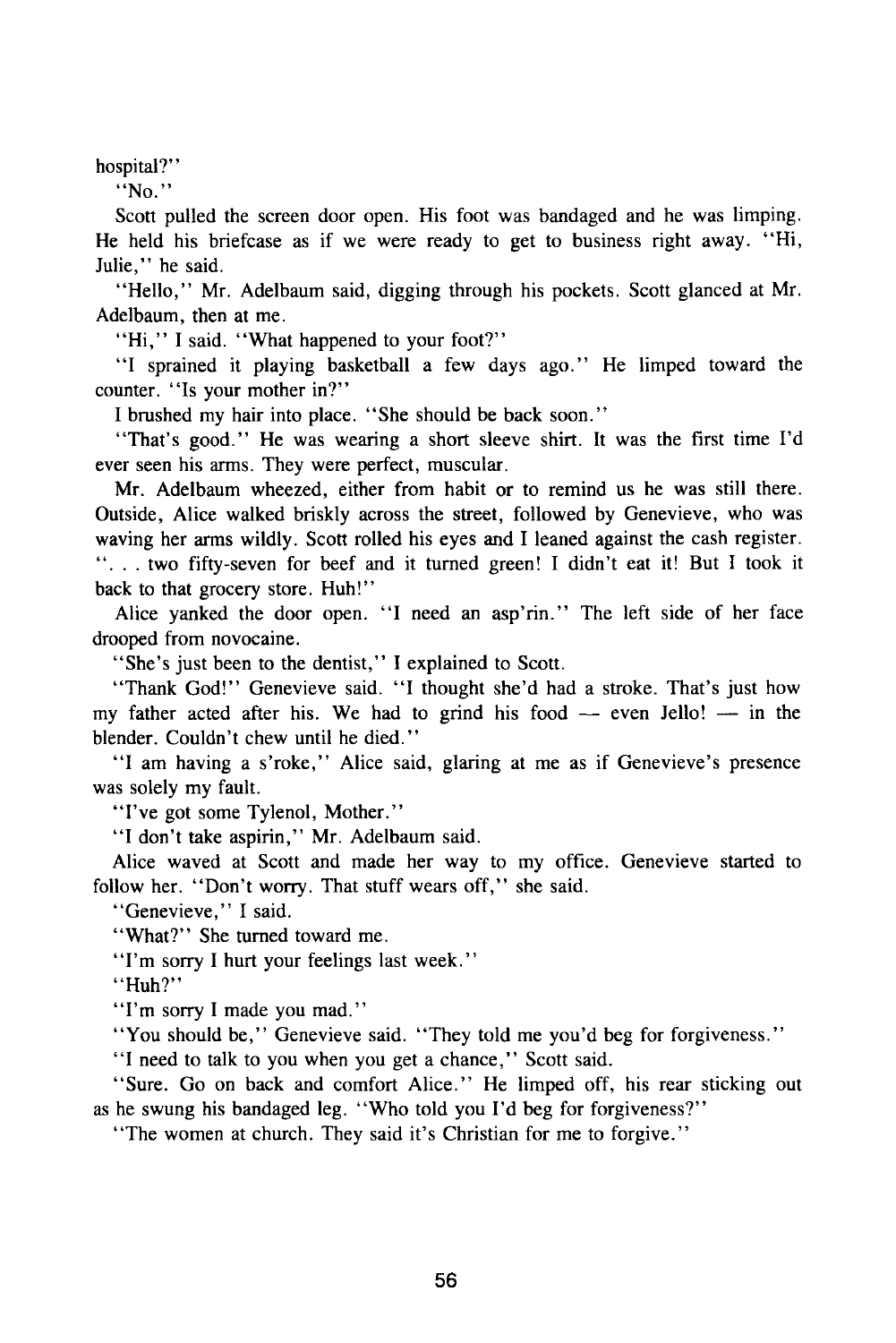hospital?"

"No."

Scott pulled the screen door open. His foot was bandaged and he was limping. He held his briefcase as if we were ready to get to business right away. "Hi, Julie," he said.

"Hello," Mr. Adelbaum said, digging through his pockets. Scott glanced at Mr. Adelbaum, then at me.

"Hi," I said. "What happened to your foot?"

"I sprained it playing basketball a few days ago." He limped toward the counter. "Is your mother in?"

I brushed my hair into place. "She should be back soon."

"That's good." He was wearing a short sleeve shirt. It was the first time I'd ever seen his arms. They were perfect, muscular.

Mr. Adelbaum wheezed, either from habit or to remind us he was still there. Outside, Alice walked briskly across the street, followed by Genevieve, who was waving her arms wildly. Scott rolled his eyes and I leaned against the cash register. ".. . two fifty-seven for beef and it turned green! I didn't eat it! But I took it back to that grocery store. Huh!"

Alice yanked the door open. "I need an asp'rin." The left side of her face drooped from novocaine.

"She's just been to the dentist," I explained to Scott.

"Thank God!" Genevieve said. "I thought she'd had a stroke. That's just how my father acted after his. We had to grind his food  $-$  even Jello!  $-$  in the blender. Couldn't chew until he died."

"I am having a s'roke," Alice said, glaring at me as if Genevieve's presence was solely my fault.

"I've got some Tylenol, Mother."

"I don't take aspirin," Mr. Adelbaum said.

Alice waved at Scott and made her way to my office. Genevieve started to follow her. "Don't worry. That stuff wears off," she said.

"Genevieve," I said.

"What?" She turned toward me.

"I'm sorry I hurt your feelings last week."

"Huh?"

"I'm sorry I made you mad."

"You should be," Genevieve said. "They told me you'd beg for forgiveness."

"I need to talk to you when you get a chance," Scott said.

"Sure. Go on back and comfort Alice." He limped off, his rear sticking out as he swung his bandaged leg. "Who told you I'd beg for forgiveness?"

"The women at church. They said it's Christian for me to forgive."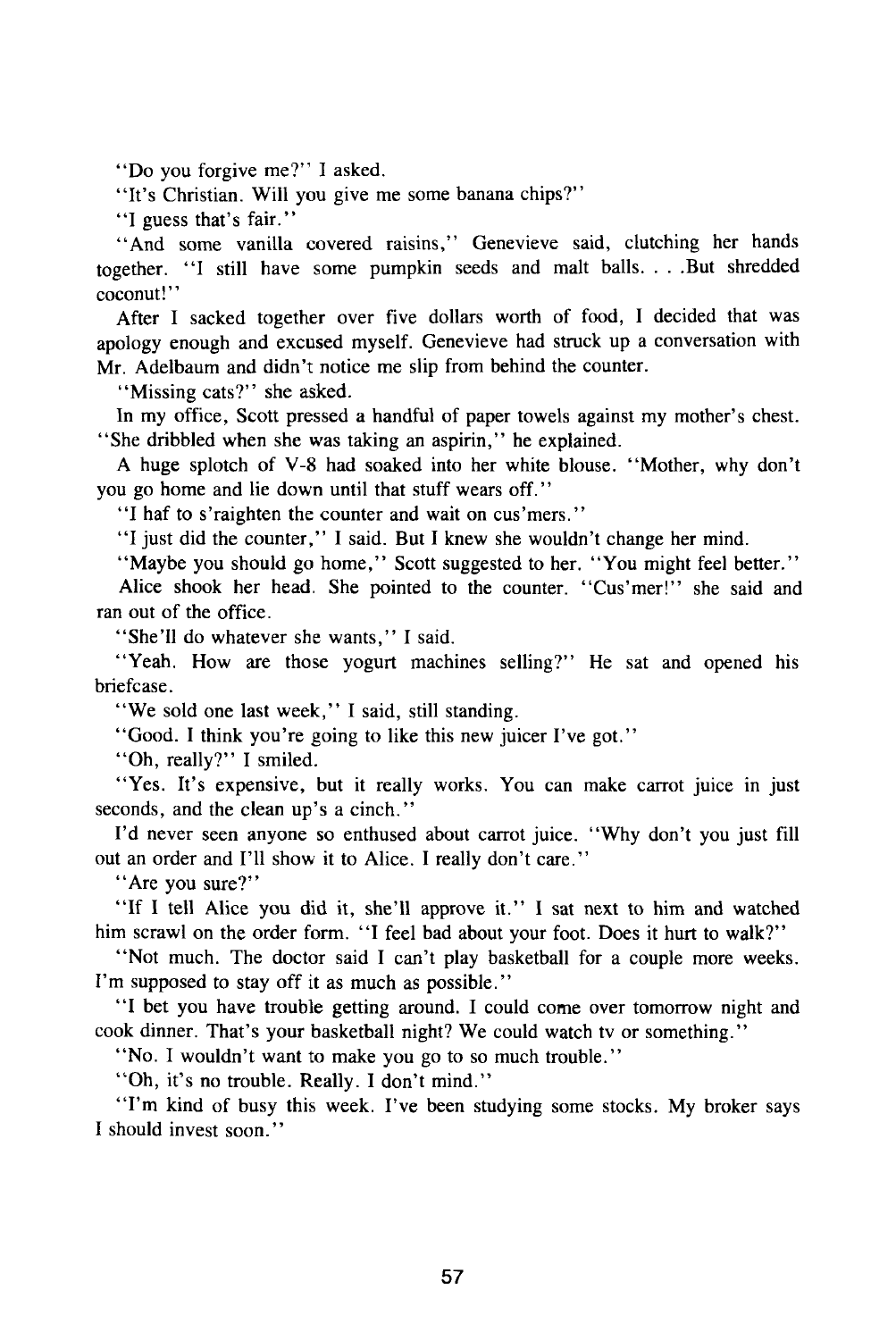"Do you forgive me?" I asked.

"It's Christian. Will you give me some banana chips?"

"I guess that's fair."

"And some vanilla covered raisins," Genevieve said, clutching her hands together. "I still have some pumpkin seeds and malt balls. . . .But shredded coconut!"

After I sacked together over five dollars worth of food, I decided that was apology enough and excused myself. Genevieve had struck up a conversation with Mr. Adelbaum and didn't notice me slip from behind the counter.

"Missing cats?" she asked.

In my office, Scott pressed a handful of paper towels against my mother's chest. "She dribbled when she was taking an aspirin," he explained.

A huge splotch of V-8 had soaked into her white blouse. "Mother, why don't you go home and lie down until that stuff wears off.''

"I haf to s'raighten the counter and wait on cus'mers."

"I just did the counter," I said. But I knew she wouldn't change her mind.

"Maybe you should go home," Scott suggested to her. "You might feel better."

Alice shook her head. She pointed to the counter. "Cus'mer!" she said and ran out of the office.

"She'll do whatever she wants," I said.

"Yeah. How are those yogurt machines selling?" He sat and opened his briefcase.

"We sold one last week," I said, still standing.

"Good. I think you're going to like this new juicer I've got."

"Oh, really?" I smiled.

"Yes. It's expensive, but it really works. You can make carrot juice in just seconds, and the clean up's a cinch."

I'd never seen anyone so enthused about carrot juice. "Why don't you just fill out an order and I'll show it to Alice. I really don't care."

"Are you sure?"

"If I tell Alice you did it, she'll approve it." I sat next to him and watched him scrawl on the order form. "I feel bad about your foot. Does it hurt to walk?"

"Not much. The doctor said I can't play basketball for a couple more weeks. I'm supposed to stay off it as much as possible."

"I bet you have trouble getting around. I could come over tomorrow night and cook dinner. That's your basketball night? We could watch tv or something."

"No. I wouldn't want to make you go to so much trouble."

"Oh, it's no trouble. Really. I don't mind."

"I'm kind of busy this week. I've been studying some stocks. My broker says I should invest soon."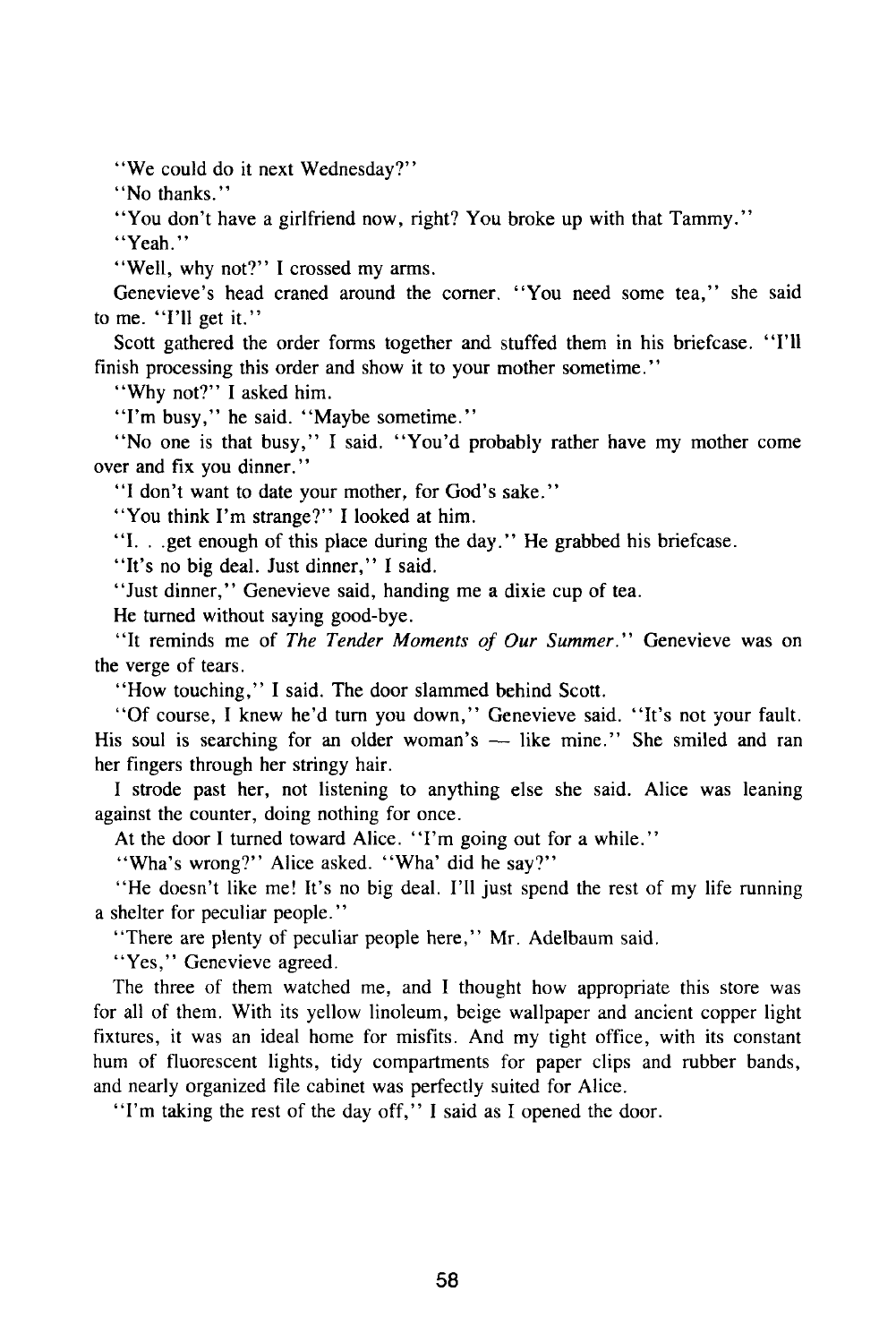"We could do it next Wednesday?"

"No thanks."

"You don't have a girlfriend now, right? You broke up with that Tammy."

"Yeah."

"Well, why not?" I crossed my arms.

Genevieve's head craned around the corner. "You need some tea," she said to me. "I'll get it."

Scott gathered the order forms together and stuffed them in his briefcase. "I'll finish processing this order and show it to your mother sometime."

"Why not?" I asked him.

"I'm busy," he said. "Maybe sometime."

"No one is that busy," I said. "You'd probably rather have my mother come over and fix you dinner."

"I don't want to date your mother, for God's sake."

"You think I'm strange?" I looked at him.

"I. . .get enough of this place during the day." He grabbed his briefcase.

"It's no big deal. Just dinner," I said.

"Just dinner," Genevieve said, handing me a dixie cup of tea.

He turned without saying good-bye.

"It reminds me of *The Tender Moments of Our Summer."* Genevieve was on the verge of tears.

"How touching," I said. The door slammed behind Scott.

"Of course, I knew he'd turn you down," Genevieve said. "It's not your fault. His soul is searching for an older woman's — like mine." She smiled and ran her fingers through her stringy hair.

I strode past her, not listening to anything else she said. Alice was leaning against the counter, doing nothing for once.

At the door I turned toward Alice. "I'm going out for a while."

"Wha's wrong?" Alice asked. "Wha' did he say?"

"He doesn't like me! It's no big deal. I'll just spend the rest of my life running a shelter for peculiar people."

"There are plenty of peculiar people here," Mr. Adelbaum said.

"Yes," Genevieve agreed.

The three of them watched me, and I thought how appropriate this store was for all of them. With its yellow linoleum, beige wallpaper and ancient copper light fixtures, it was an ideal home for misfits. And my tight office, with its constant hum of fluorescent lights, tidy compartments for paper clips and rubber bands, and nearly organized file cabinet was perfectly suited for Alice.

"I'm taking the rest of the day off," I said as I opened the door.